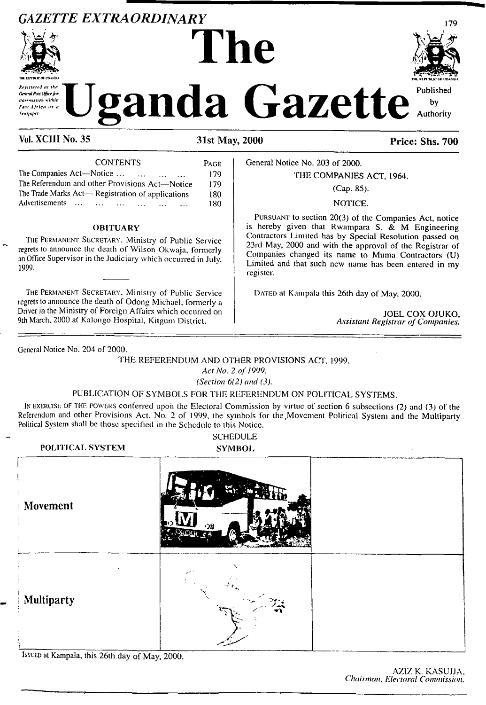# *GAZETTE EXTRAORDINARY* <sup>179</sup>



**Mathematical Gazette** makemikoan within Fast Africa as a **Versturer** 

**The** 

| <b>CONTENTS</b>                                        | PAGE |
|--------------------------------------------------------|------|
| The Companies Act—Notice<br>$\cdots$                   | 179  |
| The Referendum and other Provisions Act-Notice         | 179  |
| The Trade Marks Act-Registration of applications       | 180  |
| Advertisements<br><b>Service Contracts</b><br>$\cdots$ | 180  |
|                                                        |      |

### **OBITUARY**

The Permanent Secretary, Ministry of Public Service regrets to announce the death of Wilson Okwaja, formerly an Office Supervisor in the Judiciary which occurred in July, 1999.

The Permanent Secretary, Ministry of Public Service regrets to announce the death of Odong Michael, formerly a Driver in the Ministry of Foreign Affairs which occurred on 9th March, 2000 at Kalongo Hospital, Kilgum District.

General Notice No. 203 of 2000.

## THE COMPANIES ACT, 1964.

## (Cap. 85).

## NOTICE.

Pursuant to section 20(3) of the Companies Act, notice is hereby given that Rwampara S.  $\&$  M Engineering Contractors Limited has by Special Resolution passed on 23rd May, 2000 and with the approval of the Registrar of Companies changed its name to Muma Contractors (U) Limited and that such new name has been entered in my register.

DATED at Kampala this 26th day of May, 2000.

JOEL COX OJUKO, *Assistant Registrar ofCompanies.*

General Notice No. 204 of 2000.

THE REFERENDUM AND OTHER PROVISIONS ACT, 1999.

*Act No.* 2 *of 1999.*

*(Section 6(2) and (3).*

## PUBLICATION OF SYMBOLS FOR THE REFERENDUM ON POLITICAL SYSTEMS.

IN exercise of the powers conferred upon the Electoral Commission by virtue of section 6 subsections (2) and (3) of the Referendum and other Provisions Act. No. 2 of 1999, the symbols for the,Movement Political System and the Multiparty Political System shall be those specified in the Schedule to this Notice.

**POLITICAL SYSTEM SYMBOL ; Movement** !------------------------------ I **Multiparty**

Bsced at Kampala, this 26th day of May, 2000.



Published by Authority

Vol. XCIII No. 35 31st May, 2000 Price: Shs. 700

SCHEDULE